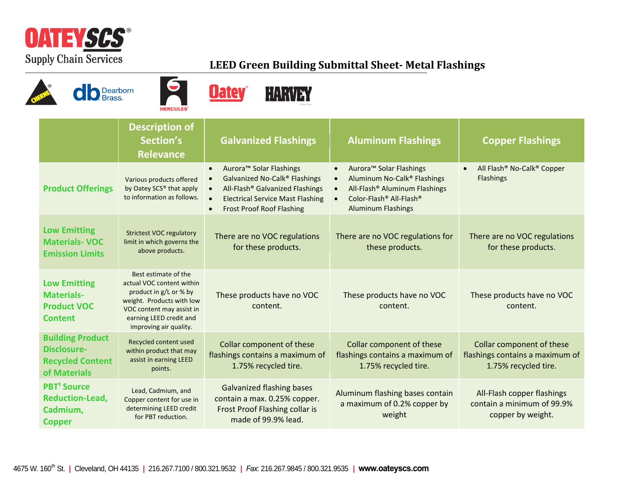

## **LEED Green Building Submittal Sheet- Metal Flashings**